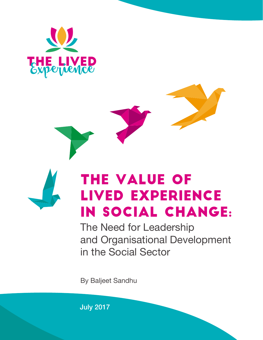



# The Value of Lived Experience in Social Change:

The Need for Leadership and Organisational Development in the Social Sector

By Baljeet Sandhu

July 2017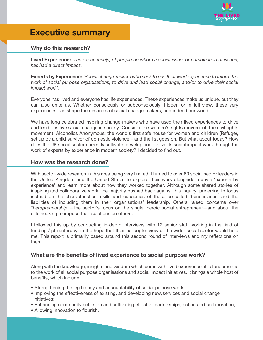

# **Executive summary**

#### **Why do this research?**

**Lived Experience:** *'The experience(s) of people on whom a social issue, or combination of issues, has had a direct impact'.*

**Experts by Experience:** *'Social change-makers who seek to use their lived experience to inform the work of social purpose organisations, to drive and lead social change, and/or to drive their social impact work'.*

Everyone has lived and everyone has life experiences. These experiences make us unique, but they can also unite us. Whether consciously or subconsciously, hidden or in full view, these very experiences can shape the destinies of social change-makers, and indeed our world.

We have long celebrated inspiring change-makers who have used their lived experiences to drive and lead positive social change in society. Consider the women's rights movement; the civil rights movement; Alcoholics Anonymous; the world's first safe house for women and children (Refuge), set up by a child survivor of domestic violence – and the list goes on. But what about today? How does the UK social sector currently cultivate, develop and evolve its social impact work through the work of experts by experience in modern society? I decided to find out.

#### **How was the research done?**

With sector-wide research in this area being very limited, I turned to over 80 social sector leaders in the United Kingdom and the United States to explore their work alongside today's 'experts by experience' and learn more about how they worked together. Although some shared stories of inspiring and collaborative work, the majority pushed back against this inquiry, preferring to focus instead on the characteristics, skills and capacities of these so-called 'beneficiaries' and the liabilities of including them in their organisations' leadership. Others raised concerns over *"heropreneurship"*—the sector's focus on the single, heroic social entrepreneur—and about the elite seeking to impose their solutions on others.

I followed this up by conducting in-depth interviews with 12 senior staff working in the field of funding / philanthropy, in the hope that their helicopter view of the wider social sector would help me. This report is primarily based around this second round of interviews and my reflections on them.

#### **What are the benefits of lived experience to social purpose work?**

Along with the knowledge, insights and wisdom which come with lived experience, it is fundamental to the work of all social purpose organisations and social impact initiatives. It brings a whole host of benefits, which include:

- Strengthening the legitimacy and accountability of social purpose work;
- Improving the effectiveness of existing, and developing new, services and social change initiatives;
- Enhancing community cohesion and cultivating effective partnerships, action and collaboration;
- Allowing innovation to flourish.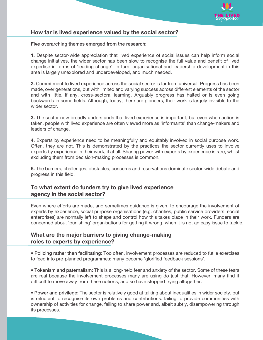

## **How far is lived experience valued by the social sector?**

**Five o**verarching themes emerged from the research:

**1.** Despite sector-wide appreciation that lived experience of social issues can help inform social change initiatives, the wider sector has been slow to recognise the full value and benefit of lived expertise in terms of 'leading change'. In turn, organisational and leadership development in this area is largely unexplored and underdeveloped, and much needed.

**2.** Commitment to lived experience across the social sector is far from universal. Progress has been made, over generations, but with limited and varying success across different elements of the sector and with little, if any, cross-sectoral learning. Arguably progress has halted or is even going backwards in some fields. Although, today, there are pioneers, their work is largely invisible to the wider sector.

**3.** The sector now broadly understands that lived experience is important, but even when action is taken, people with lived experience are often viewed more as 'informants' than change-makers and leaders of change.

**4.** Experts by experience need to be meaningfully and equitably involved in social purpose work. Often, they are not. This is demonstrated by the practices the sector currently uses to involve experts by experience in their work, if at all. Sharing power with experts by experience is rare, whilst excluding them from decision-making processes is common.

**5.** The barriers, challenges, obstacles, concerns and reservations dominate sector-wide debate and progress in this field.

# **To what extent do funders try to give lived experience agency in the social sector?**

Even where efforts are made, and sometimes guidance is given, to encourage the involvement of experts by experience, social purpose organisations (e.g. charities, public service providers, social enterprises) are normally left to shape and control how this takes place in their work. Funders are concerned about 'punishing' organisations for getting it wrong, when it is not an easy issue to tackle.

### **What are the major barriers to giving change-making roles to experts by experience?**

• Policing rather than facilitating: Too often, involvement processes are reduced to futile exercises to feed into pre-planned programmes; many become 'glorified feedback sessions'.

• Tokenism and paternalism: This is a long-held fear and anxiety of the sector. Some of these fears are real because the involvement processes many are using do just that. However, many find it difficult to move away from these notions, and so have stopped trying altogether.

• Power and privilege: The sector is relatively good at talking about inequalities in wider society, but is reluctant to recognise its own problems and contributions: failing to provide communities with ownership of activities for change, failing to share power and, albeit subtly, disempowering through its processes.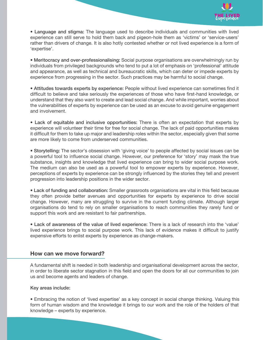

• Language and stigma: The language used to describe individuals and communities with lived experience can still serve to hold them back and pigeon-hole them as 'victims' or 'service-users' rather than drivers of change. It is also hotly contested whether or not lived experience is a form of 'expertise'.

• Meritocracy and over-professionalising: Social purpose organisations are overwhelmingly run by individuals from privileged backgrounds who tend to put a lot of emphasis on 'professional' attitude and appearance, as well as technical and bureaucratic skills, which can deter or impede experts by experience from progressing in the sector. Such practices may be harmful to social change.

• Attitudes towards experts by experience: People without lived experience can sometimes find it difficult to believe and take seriously the experiences of those who have first-hand knowledge, or understand that they also want to create and lead social change. And while important, worries about the vulnerabilities of experts by experience can be used as an excuse to avoid genuine engagement and involvement.

• Lack of equitable and inclusive opportunities: There is often an expectation that experts by experience will volunteer their time for free for social change. The lack of paid opportunities makes it difficult for them to take up major and leadership roles within the sector, especially given that some are more likely to come from underserved communities.

• Storytelling: The sector's obsession with 'giving voice' to people affected by social issues can be a powerful tool to influence social change. However, our preference for 'story' may mask the true substance, insights and knowledge that lived experience can bring to wider social purpose work. The medium can also be used as a powerful tool to empower experts by experience. However, perceptions of experts by experience can be strongly influenced by the stories they tell and prevent progression into leadership positions in the wider sector.

• Lack of funding and collaboration: Smaller grassroots organisations are vital in this field because they often provide better avenues and opportunities for experts by experience to drive social change. However, many are struggling to survive in the current funding climate. Although larger organisations do tend to rely on smaller organisations to reach communities they rarely fund or support this work and are resistant to fair partnerships.

• Lack of awareness of the value of lived experience: There is a lack of research into the 'value' lived experience brings to social purpose work. This lack of evidence makes it difficult to justify expensive efforts to enlist experts by experience as change-makers.

#### **How can we move forward?**

A fundamental shift is needed in both leadership and organisational development across the sector, in order to liberate sector stagnation in this field and open the doors for all our communities to join us and become agents and leaders of change.

Key areas include:

• Embracing the notion of 'lived expertise' as a key concept in social change thinking. Valuing this form of human wisdom and the knowledge it brings to our work and the role of the holders of that knowledge – experts by experience.